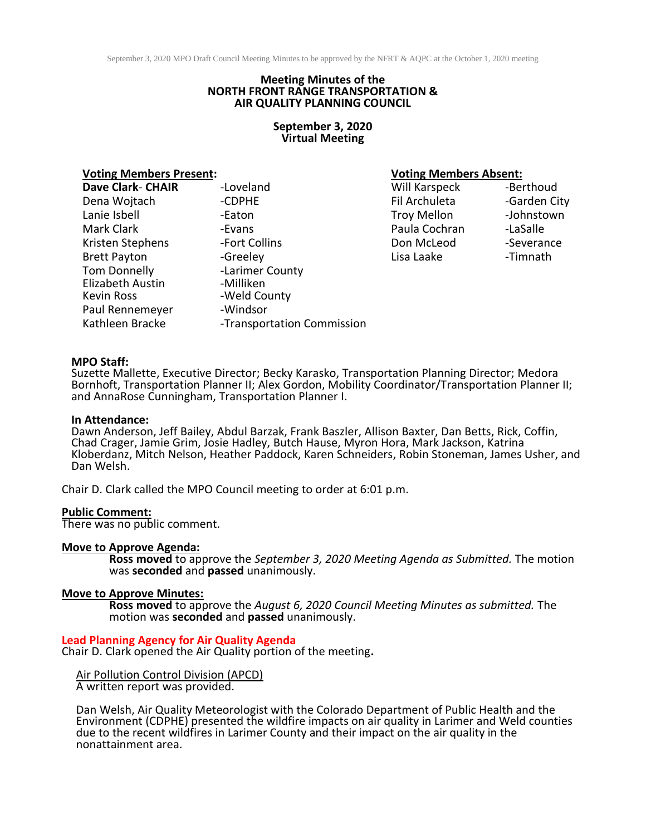## **Meeting Minutes of the NORTH FRONT RANGE TRANSPORTATION & AIR QUALITY PLANNING COUNCIL**

## **September 3, 2020 Virtual Meeting**

| Dave Clark- CHAIR   | -Loveland                  | Will Karspeck      | -Berthoud   |
|---------------------|----------------------------|--------------------|-------------|
| Dena Wojtach        | -CDPHE                     | Fil Archuleta      | -Garden Cit |
| Lanie Isbell        | -Eaton                     | <b>Troy Mellon</b> | -Johnstowr  |
| Mark Clark          | -Evans                     | Paula Cochran      | -LaSalle    |
| Kristen Stephens    | -Fort Collins              | Don McLeod         | -Severance  |
| <b>Brett Payton</b> | -Greeley                   | Lisa Laake         | -Timnath    |
| Tom Donnelly        | -Larimer County            |                    |             |
| Elizabeth Austin    | -Milliken                  |                    |             |
| Kevin Ross          | -Weld County               |                    |             |
| Paul Rennemeyer     | -Windsor                   |                    |             |
| Kathleen Bracke     | -Transportation Commission |                    |             |
|                     |                            |                    |             |

## **Voting Members Present: Voting Members Absent:**

Will Karspeck -Berthoud Fil Archuleta -Garden City Troy Mellon -Johnstown Paula Cochran -LaSalle

## **MPO Staff:**

Suzette Mallette, Executive Director; Becky Karasko, Transportation Planning Director; Medora Bornhoft, Transportation Planner II; Alex Gordon, Mobility Coordinator/Transportation Planner II; and AnnaRose Cunningham, Transportation Planner I.

### **In Attendance:**

Dawn Anderson, Jeff Bailey, Abdul Barzak, Frank Baszler, Allison Baxter, Dan Betts, Rick, Coffin, Chad Crager, Jamie Grim, Josie Hadley, Butch Hause, Myron Hora, Mark Jackson, Katrina Kloberdanz, Mitch Nelson, Heather Paddock, Karen Schneiders, Robin Stoneman, James Usher, and Dan Welsh.

Chair D. Clark called the MPO Council meeting to order at 6:01 p.m.

#### **Public Comment:**

There was no public comment.

#### **Move to Approve Agenda:**

**Ross moved** to approve the *September 3, 2020 Meeting Agenda as Submitted.* The motion was **seconded** and **passed** unanimously.

## **Move to Approve Minutes:**

**Ross moved** to approve the *August 6, 2020 Council Meeting Minutes as submitted.* The motion was **seconded** and **passed** unanimously.

#### **Lead Planning Agency for Air Quality Agenda** Chair D. Clark opened the Air Quality portion of the meeting**.**

Air Pollution Control Division (APCD) A written report was provided.

Dan Welsh, Air Quality Meteorologist with the Colorado Department of Public Health and the Environment (CDPHE) presented the wildfire impacts on air quality in Larimer and Weld counties due to the recent wildfires in Larimer County and their impact on the air quality in the nonattainment area.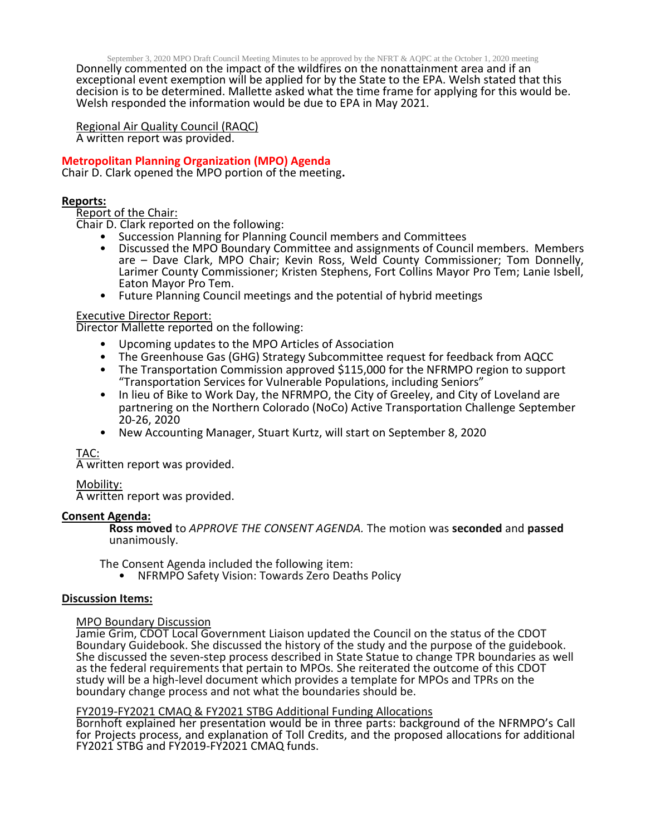September 3, 2020 MPO Draft Council Meeting Minutes to be approved by the NFRT & AQPC at the October 1, 2020 meeting

Donnelly commented on the impact of the wildfires on the nonattainment area and if an exceptional event exemption will be applied for by the State to the EPA. Welsh stated that this decision is to be determined. Mallette asked what the time frame for applying for this would be. Welsh responded the information would be due to EPA in May 2021.

Regional Air Quality Council (RAQC) A written report was provided.

# **Metropolitan Planning Organization (MPO) Agenda**

Chair D. Clark opened the MPO portion of the meeting**.**

# **Reports:**

Report of the Chair:

Chair D. Clark reported on the following:

- Succession Planning for Planning Council members and Committees
- Discussed the MPO Boundary Committee and assignments of Council members. Members are – Dave Clark, MPO Chair; Kevin Ross, Weld County Commissioner; Tom Donnelly, Larimer County Commissioner; Kristen Stephens, Fort Collins Mayor Pro Tem; Lanie Isbell, Eaton Mayor Pro Tem.
- Future Planning Council meetings and the potential of hybrid meetings

# Executive Director Report:

Director Mallette reported on the following:

- Upcoming updates to the MPO Articles of Association
- The Greenhouse Gas (GHG) Strategy Subcommittee request for feedback from AQCC
- The Transportation Commission approved \$115,000 for the NFRMPO region to support "Transportation Services for Vulnerable Populations, including Seniors"
- In lieu of Bike to Work Day, the NFRMPO, the City of Greeley, and City of Loveland are partnering on the Northern Colorado (NoCo) Active Transportation Challenge September 20-26, 2020
- New Accounting Manager, Stuart Kurtz, will start on September 8, 2020

# TAC:

A written report was provided.

# Mobility: A written report was provided.

# **Consent Agenda:**

**Ross moved** to *APPROVE THE CONSENT AGENDA.* The motion was **seconded** and **passed** unanimously.

The Consent Agenda included the following item:

• NFRMPO Safety Vision: Towards Zero Deaths Policy

# **Discussion Items:**

## MPO Boundary Discussion

Jamie Grim, CDOT Local Government Liaison updated the Council on the status of the CDOT Boundary Guidebook. She discussed the history of the study and the purpose of the guidebook. She discussed the seven-step process described in State Statue to change TPR boundaries as well as the federal requirements that pertain to MPOs. She reiterated the outcome of this CDOT study will be a high-level document which provides a template for MPOs and TPRs on the boundary change process and not what the boundaries should be.

## FY2019-FY2021 CMAQ & FY2021 STBG Additional Funding Allocations

Bornhoft explained her presentation would be in three parts: background of the NFRMPO's Call for Projects process, and explanation of Toll Credits, and the proposed allocations for additional FY2021 STBG and FY2019-FY2021 CMAQ funds.